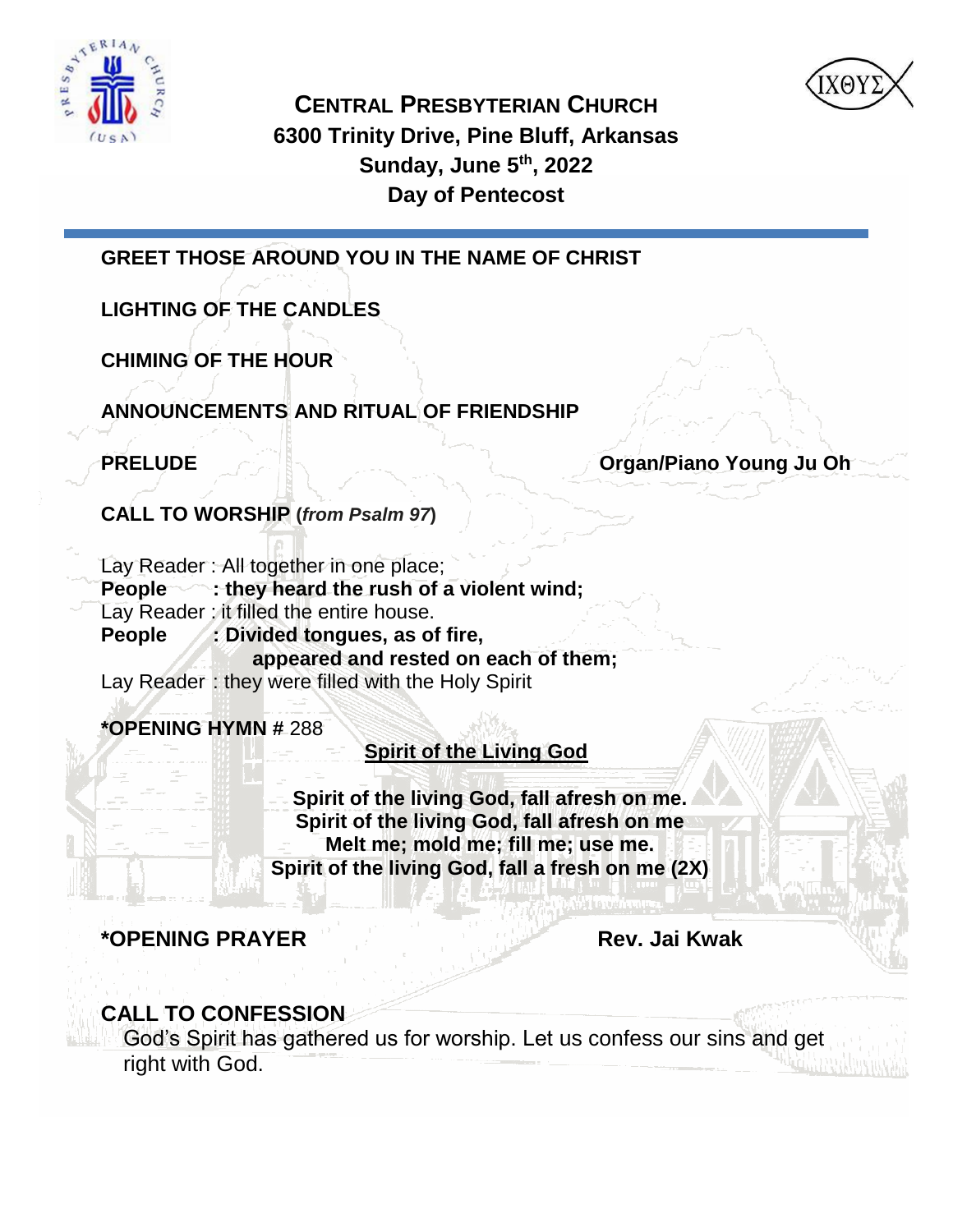



**CENTRAL PRESBYTERIAN CHURCH 6300 Trinity Drive, Pine Bluff, Arkansas Sunday, June 5th, 2022 Day of Pentecost**

**GREET THOSE AROUND YOU IN THE NAME OF CHRIST** 

**LIGHTING OF THE CANDLES**

**CHIMING OF THE HOUR**

**ANNOUNCEMENTS AND RITUAL OF FRIENDSHIP**

**PRELUDE AND RELUDE Organ/Piano Young Ju Oh** 

**CALL TO WORSHIP (***from Psalm 97***)**

Lay Reader : All together in one place;

**People : they heard the rush of a violent wind;**

Lay Reader : it filled the entire house.

**People : Divided tongues, as of fire,** 

 **appeared and rested on each of them;**

Lay Reader : they were filled with the Holy Spirit

**\*OPENING HYMN #** 288

**Spirit of the Living God**

**Spirit of the living God, fall afresh on me. Spirit of the living God, fall afresh on me Melt me; mold me; fill me; use me. Spirit of the living God, fall a fresh on me (2X)**

**\*OPENING PRAYER Rev. Jai Kwak**

# **CALL TO CONFESSION**

God's Spirit has gathered us for worship. Let us confess our sins and get right with God.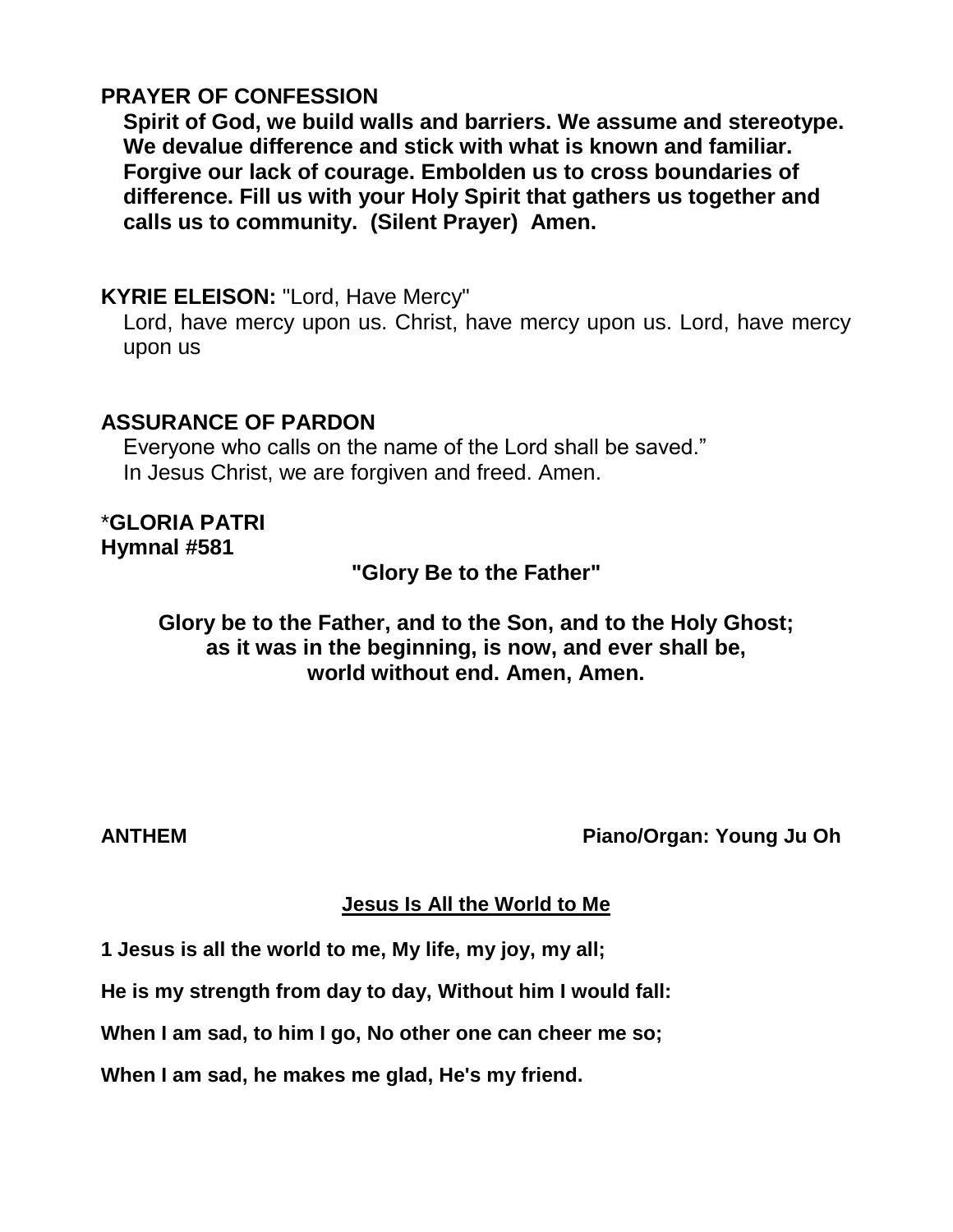# **PRAYER OF CONFESSION**

**Spirit of God, we build walls and barriers. We assume and stereotype. We devalue difference and stick with what is known and familiar. Forgive our lack of courage. Embolden us to cross boundaries of difference. Fill us with your Holy Spirit that gathers us together and calls us to community. (Silent Prayer) Amen.**

# **KYRIE ELEISON:** "Lord, Have Mercy"

Lord, have mercy upon us. Christ, have mercy upon us. Lord, have mercy upon us

# **ASSURANCE OF PARDON**

Everyone who calls on the name of the Lord shall be saved." In Jesus Christ, we are forgiven and freed. Amen.

# \***GLORIA PATRI Hymnal #581**

# **"Glory Be to the Father"**

# **Glory be to the Father, and to the Son, and to the Holy Ghost; as it was in the beginning, is now, and ever shall be, world without end. Amen, Amen.**

# **ANTHEM Piano/Organ: Young Ju Oh**

# **Jesus Is All the World to Me**

**1 Jesus is all the world to me, My life, my joy, my all;**

**He is my strength from day to day, Without him I would fall:**

**When I am sad, to him I go, No other one can cheer me so;**

**When I am sad, he makes me glad, He's my friend.**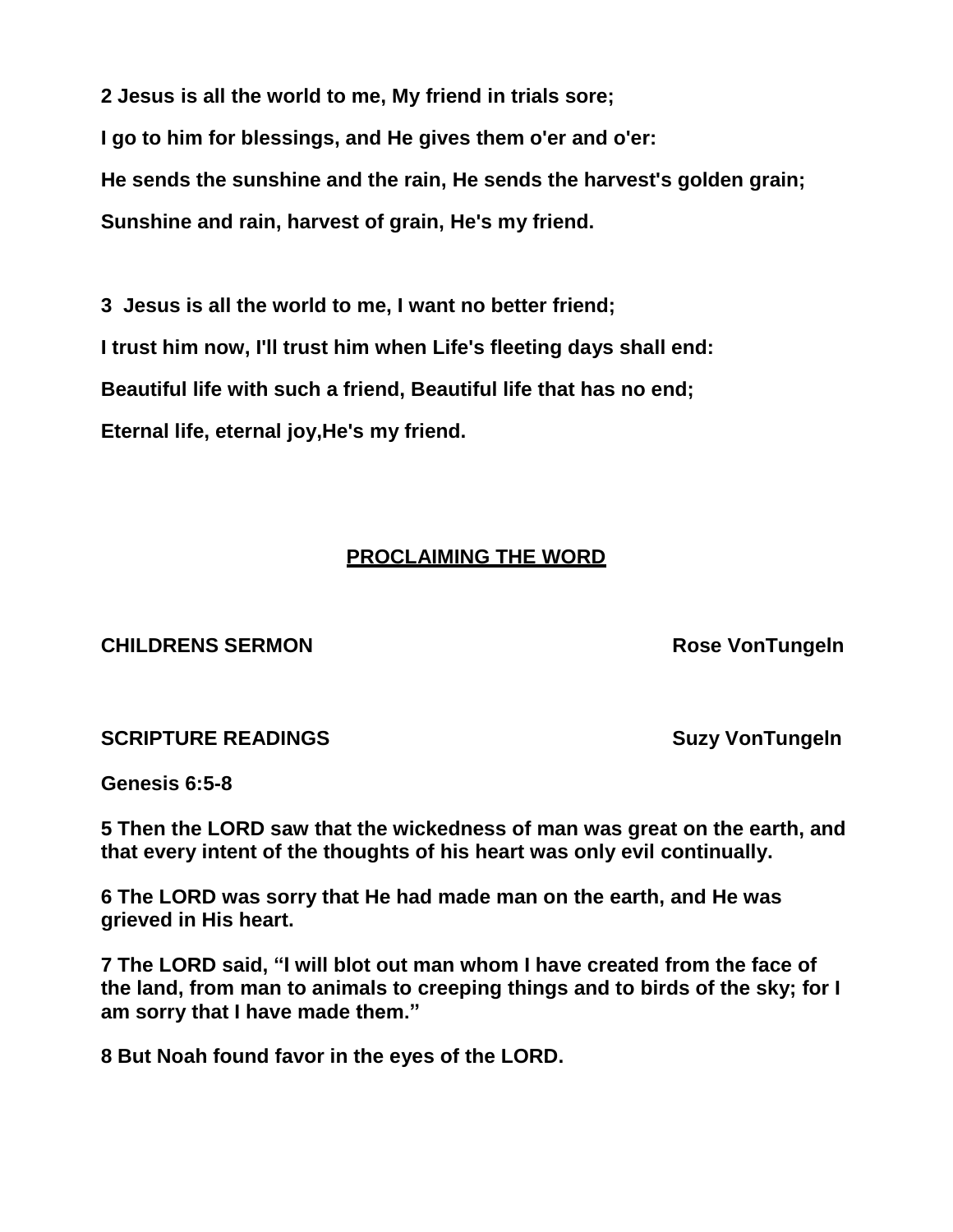**2 Jesus is all the world to me, My friend in trials sore; I go to him for blessings, and He gives them o'er and o'er: He sends the sunshine and the rain, He sends the harvest's golden grain; Sunshine and rain, harvest of grain, He's my friend.**

**3 Jesus is all the world to me, I want no better friend; I trust him now, I'll trust him when Life's fleeting days shall end: Beautiful life with such a friend, Beautiful life that has no end; Eternal life, eternal joy,He's my friend.**

### **PROCLAIMING THE WORD**

**CHILDRENS SERMON ROSE VONTUNGERS** 

#### **SCRIPTURE READINGS** SCRIPTURE **READINGS**

**Genesis 6:5-8** 

**5 Then the LORD saw that the wickedness of man was great on the earth, and that every intent of the thoughts of his heart was only evil continually.**

**6 The LORD was sorry that He had made man on the earth, and He was grieved in His heart.**

**7 The LORD said, "I will blot out man whom I have created from the face of the land, from man to animals to creeping things and to birds of the sky; for I am sorry that I have made them."**

**8 But Noah found favor in the eyes of the LORD.**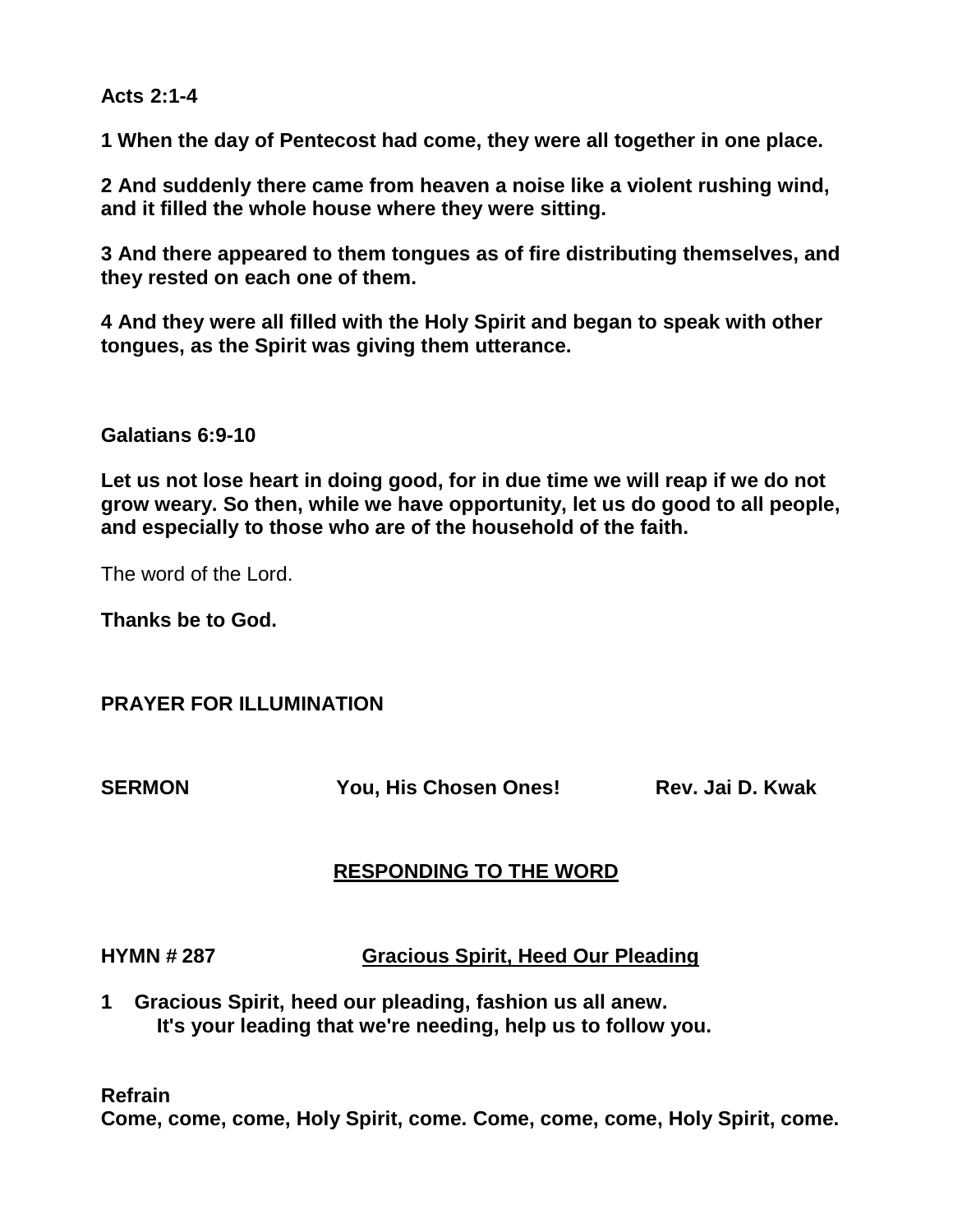#### **Acts 2:1-4**

**1 When the day of Pentecost had come, they were all together in one place.**

**2 And suddenly there came from heaven a noise like a violent rushing wind, and it filled the whole house where they were sitting.**

**3 And there appeared to them tongues as of fire distributing themselves, and they rested on each one of them.**

**4 And they were all filled with the Holy Spirit and began to speak with other tongues, as the Spirit was giving them utterance.**

**Galatians 6:9-10**

**Let us not lose heart in doing good, for in due time we will reap if we do not grow weary. So then, while we have opportunity, let us do good to all people, and especially to those who are of the household of the faith.**

The word of the Lord.

**Thanks be to God.**

### **PRAYER FOR ILLUMINATION**

**SERMON You, His Chosen Ones! Rev. Jai D. Kwak**

# **RESPONDING TO THE WORD**

**HYMN # 287 Gracious Spirit, Heed Our Pleading**

**1 Gracious Spirit, heed our pleading, fashion us all anew. It's your leading that we're needing, help us to follow you.**

**Refrain**

**Come, come, come, Holy Spirit, come. Come, come, come, Holy Spirit, come.**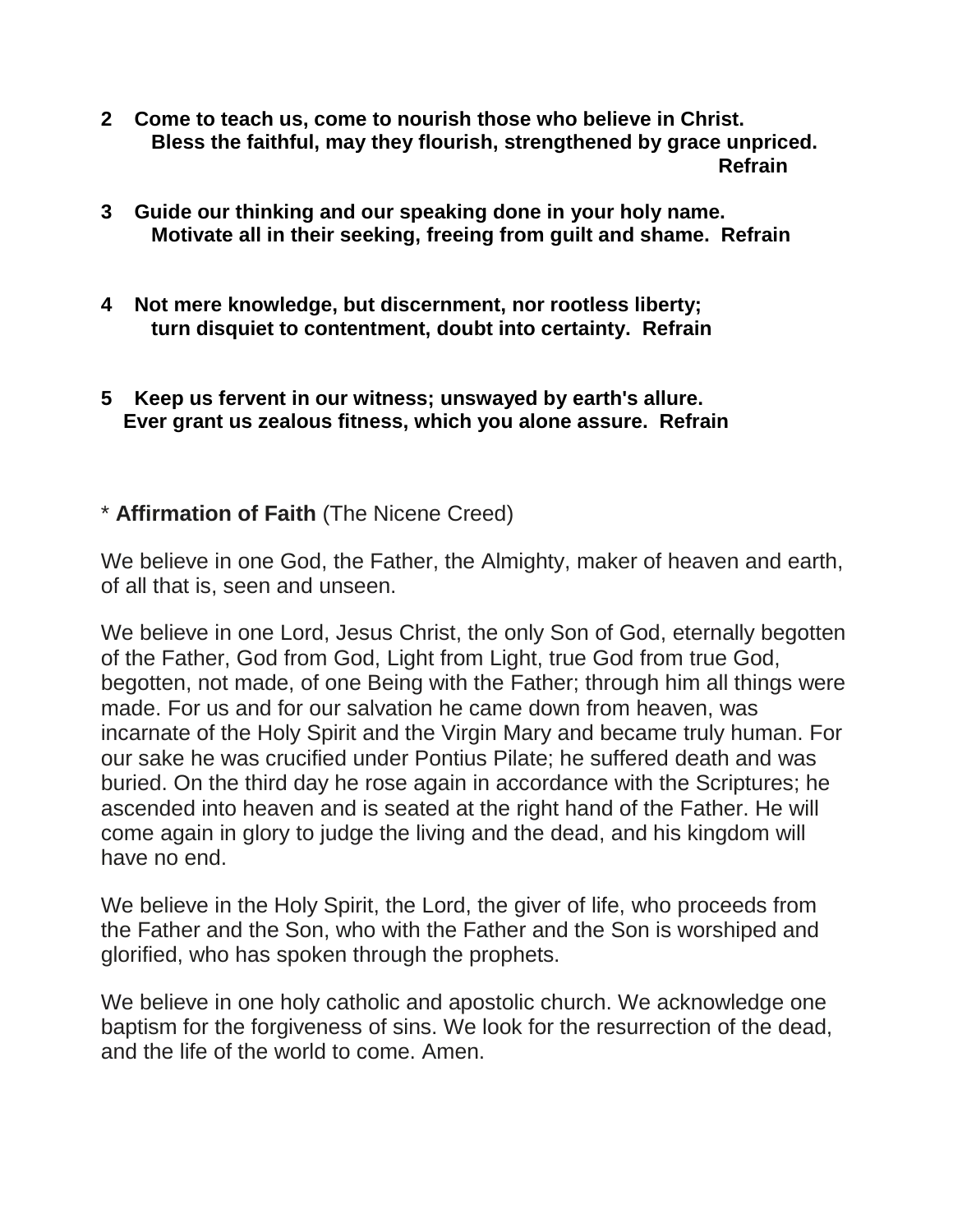- **2 Come to teach us, come to nourish those who believe in Christ. Bless the faithful, may they flourish, strengthened by grace unpriced. Refrain**
- **3 Guide our thinking and our speaking done in your holy name. Motivate all in their seeking, freeing from guilt and shame. Refrain**
- **4 Not mere knowledge, but discernment, nor rootless liberty; turn disquiet to contentment, doubt into certainty. Refrain**
- **5 Keep us fervent in our witness; unswayed by earth's allure. Ever grant us zealous fitness, which you alone assure. Refrain**

# \* **Affirmation of Faith** (The Nicene Creed)

We believe in one God, the Father, the Almighty, maker of heaven and earth, of all that is, seen and unseen.

We believe in one Lord, Jesus Christ, the only Son of God, eternally begotten of the Father, God from God, Light from Light, true God from true God, begotten, not made, of one Being with the Father; through him all things were made. For us and for our salvation he came down from heaven, was incarnate of the Holy Spirit and the Virgin Mary and became truly human. For our sake he was crucified under Pontius Pilate; he suffered death and was buried. On the third day he rose again in accordance with the Scriptures; he ascended into heaven and is seated at the right hand of the Father. He will come again in glory to judge the living and the dead, and his kingdom will have no end.

We believe in the Holy Spirit, the Lord, the giver of life, who proceeds from the Father and the Son, who with the Father and the Son is worshiped and glorified, who has spoken through the prophets.

We believe in one holy catholic and apostolic church. We acknowledge one baptism for the forgiveness of sins. We look for the resurrection of the dead, and the life of the world to come. Amen.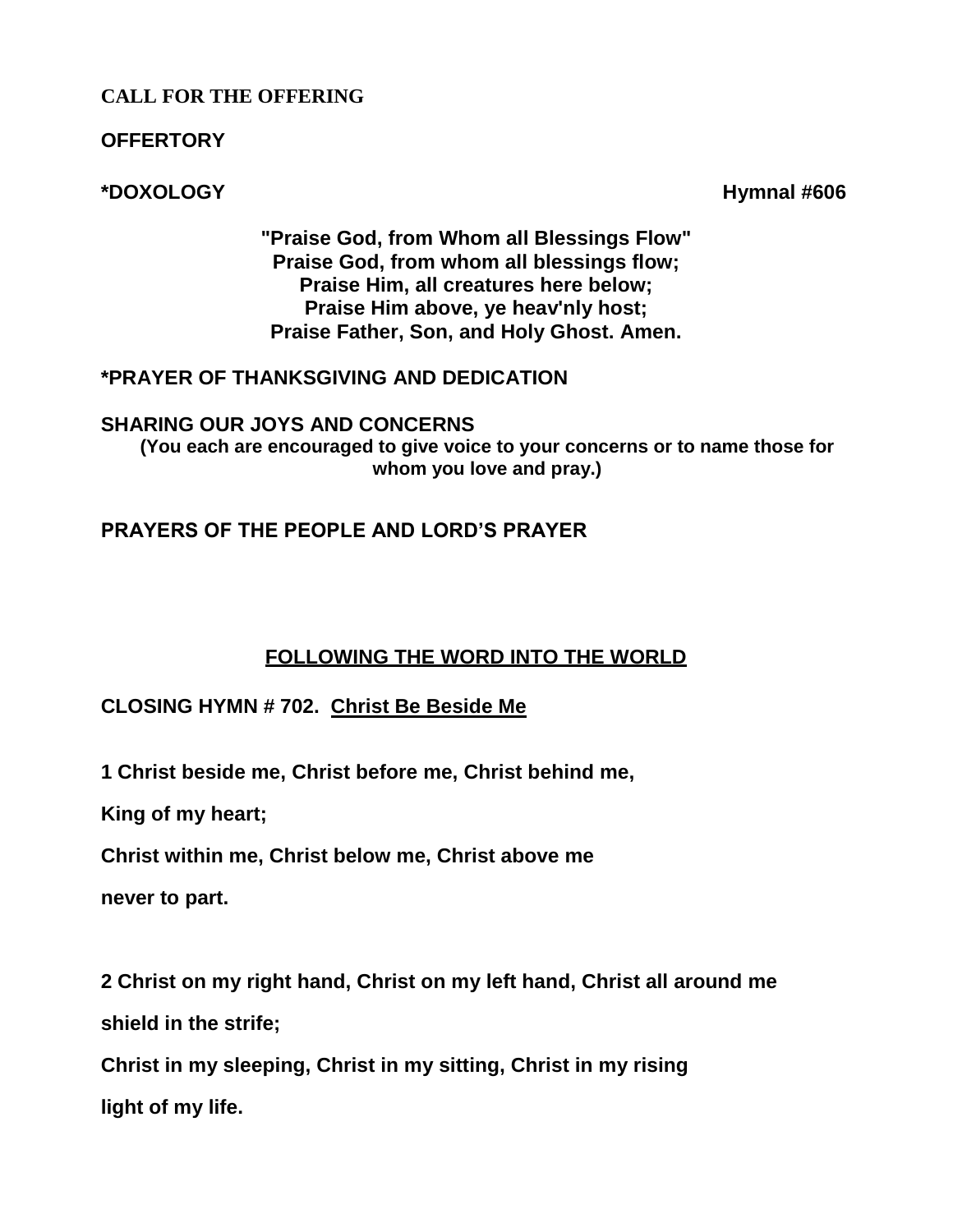### **CALL FOR THE OFFERING**

### **OFFERTORY**

**\*DOXOLOGY Hymnal #606** 

**"Praise God, from Whom all Blessings Flow" Praise God, from whom all blessings flow; Praise Him, all creatures here below; Praise Him above, ye heav'nly host; Praise Father, Son, and Holy Ghost. Amen.**

### **\*PRAYER OF THANKSGIVING AND DEDICATION**

**SHARING OUR JOYS AND CONCERNS (You each are encouraged to give voice to your concerns or to name those for whom you love and pray.)**

## **PRAYERS OF THE PEOPLE AND LORD'S PRAYER**

# **FOLLOWING THE WORD INTO THE WORLD**

**CLOSING HYMN # 702. Christ Be Beside Me**

**1 Christ beside me, Christ before me, Christ behind me,**

**King of my heart;**

**Christ within me, Christ below me, Christ above me**

**never to part.**

**2 Christ on my right hand, Christ on my left hand, Christ all around me shield in the strife;**

**Christ in my sleeping, Christ in my sitting, Christ in my rising**

**light of my life.**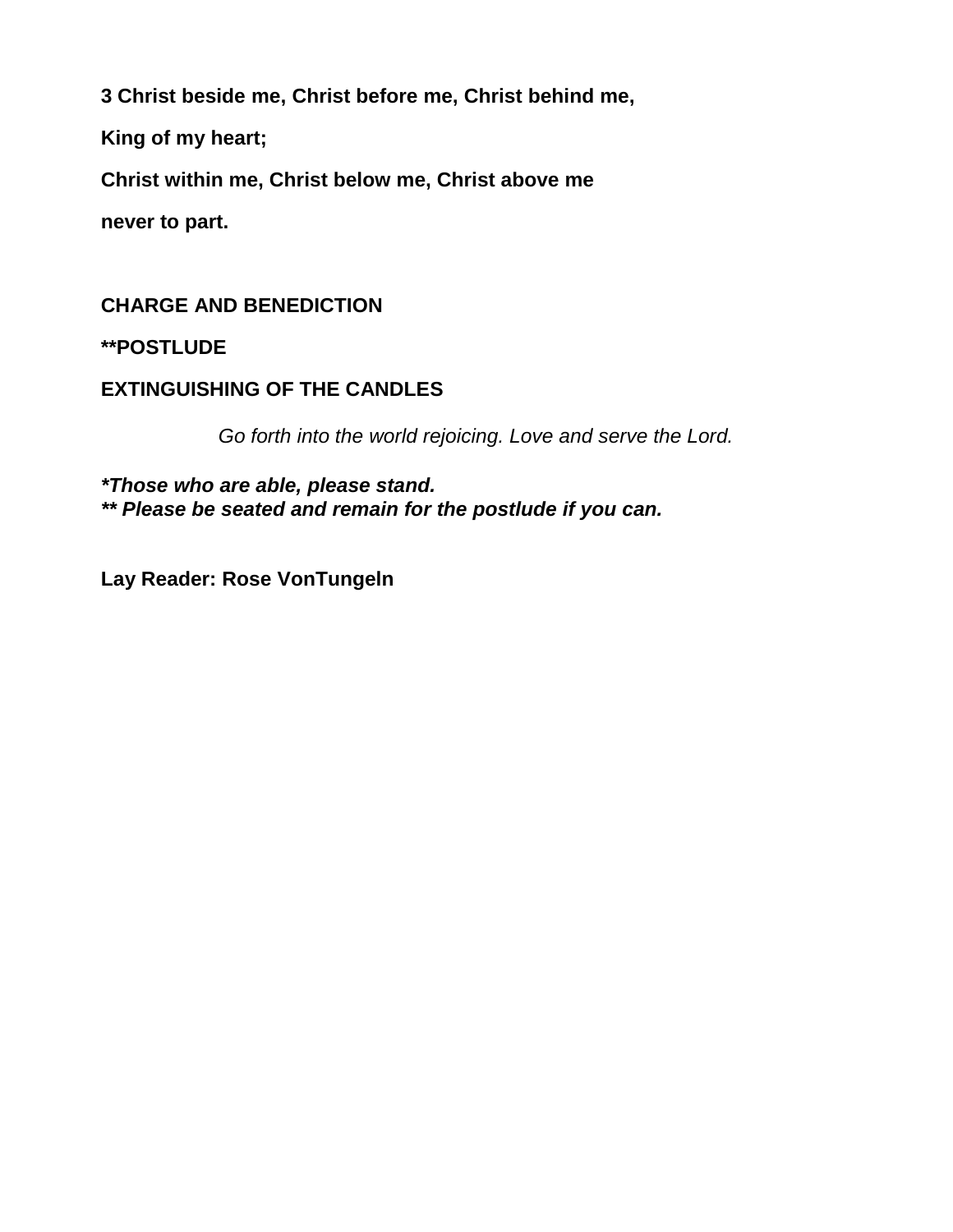**3 Christ beside me, Christ before me, Christ behind me,**

**King of my heart;**

**Christ within me, Christ below me, Christ above me**

**never to part.**

# **CHARGE AND BENEDICTION**

**\*\*POSTLUDE**

# **EXTINGUISHING OF THE CANDLES**

*Go forth into the world rejoicing. Love and serve the Lord.*

*\*Those who are able, please stand. \*\* Please be seated and remain for the postlude if you can.*

**Lay Reader: Rose VonTungeln**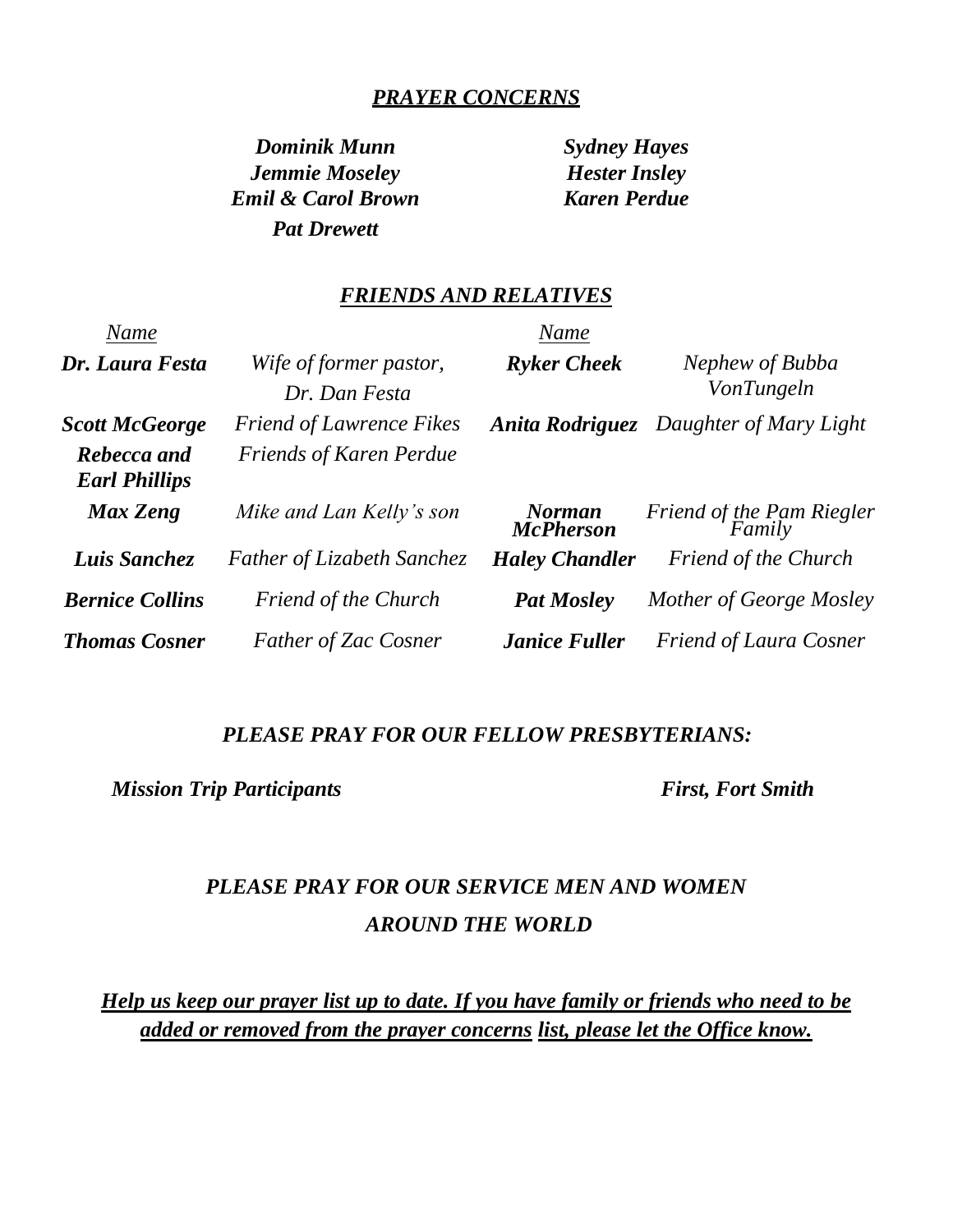#### *PRAYER CONCERNS*

*Dominik Munn Sydney Hayes Jemmie Moseley Hester Insley Emil & Carol Brown Karen Perdue Pat Drewett*

#### *FRIENDS AND RELATIVES*

| Name                                |                                         | Name                              |                                     |
|-------------------------------------|-----------------------------------------|-----------------------------------|-------------------------------------|
| Dr. Laura Festa                     | Wife of former pastor,<br>Dr. Dan Festa | <b>Ryker Cheek</b>                | Nephew of Bubba<br>VonTungeln       |
| <b>Scott McGeorge</b>               | <b>Friend of Lawrence Fikes</b>         | Anita Rodriguez                   | Daughter of Mary Light              |
| Rebecca and<br><b>Earl Phillips</b> | <b>Friends of Karen Perdue</b>          |                                   |                                     |
| Max Zeng                            | Mike and Lan Kelly's son                | <b>Norman</b><br><b>McPherson</b> | Friend of the Pam Riegler<br>Family |
| Luis Sanchez                        | <b>Father of Lizabeth Sanchez</b>       | <b>Haley Chandler</b>             | <b>Friend of the Church</b>         |
| <b>Bernice Collins</b>              | <b>Friend of the Church</b>             | <b>Pat Mosley</b>                 | Mother of George Mosley             |
| <b>Thomas Cosner</b>                | <b>Father of Zac Cosner</b>             | <b>Janice Fuller</b>              | <b>Friend of Laura Cosner</b>       |

#### *PLEASE PRAY FOR OUR FELLOW PRESBYTERIANS:*

 *Mission Trip Participants First, Fort Smith*

# *PLEASE PRAY FOR OUR SERVICE MEN AND WOMEN AROUND THE WORLD*

*Help us keep our prayer list up to date. If you have family or friends who need to be added or removed from the prayer concerns list, please let the Office know.*